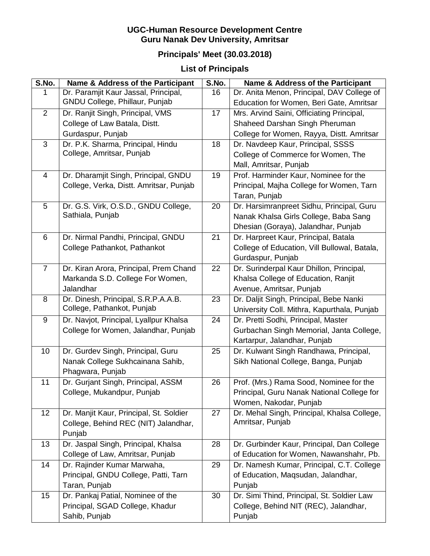## **UGC-Human Resource Development Centre Guru Nanak Dev University, Amritsar**

## **Principals' Meet (30.03.2018)**

## **List of Principals**

| S.No.          | Name & Address of the Participant       | S.No. | Name & Address of the Participant            |
|----------------|-----------------------------------------|-------|----------------------------------------------|
| 1              | Dr. Paramjit Kaur Jassal, Principal,    | 16    | Dr. Anita Menon, Principal, DAV College of   |
|                | GNDU College, Phillaur, Punjab          |       | Education for Women, Beri Gate, Amritsar     |
| $\overline{2}$ | Dr. Ranjit Singh, Principal, VMS        | 17    | Mrs. Arvind Saini, Officiating Principal,    |
|                | College of Law Batala, Distt.           |       | Shaheed Darshan Singh Pheruman               |
|                | Gurdaspur, Punjab                       |       | College for Women, Rayya, Distt. Amritsar    |
| $\mathfrak{S}$ | Dr. P.K. Sharma, Principal, Hindu       | 18    | Dr. Navdeep Kaur, Principal, SSSS            |
|                | College, Amritsar, Punjab               |       | College of Commerce for Women, The           |
|                |                                         |       | Mall, Amritsar, Punjab                       |
| 4              | Dr. Dharamjit Singh, Principal, GNDU    | 19    | Prof. Harminder Kaur, Nominee for the        |
|                | College, Verka, Distt. Amritsar, Punjab |       | Principal, Majha College for Women, Tarn     |
|                |                                         |       | Taran, Punjab                                |
| 5              | Dr. G.S. Virk, O.S.D., GNDU College,    | 20    | Dr. Harsimranpreet Sidhu, Principal, Guru    |
|                | Sathiala, Punjab                        |       | Nanak Khalsa Girls College, Baba Sang        |
|                |                                         |       | Dhesian (Goraya), Jalandhar, Punjab          |
| 6              | Dr. Nirmal Pandhi, Principal, GNDU      | 21    | Dr. Harpreet Kaur, Principal, Batala         |
|                | College Pathankot, Pathankot            |       | College of Education, Vill Bullowal, Batala, |
|                |                                         |       | Gurdaspur, Punjab                            |
| $\overline{7}$ | Dr. Kiran Arora, Principal, Prem Chand  | 22    | Dr. Surinderpal Kaur Dhillon, Principal,     |
|                | Markanda S.D. College For Women,        |       | Khalsa College of Education, Ranjit          |
|                | Jalandhar                               |       | Avenue, Amritsar, Punjab                     |
| 8              | Dr. Dinesh, Principal, S.R.P.A.A.B.     | 23    | Dr. Daljit Singh, Principal, Bebe Nanki      |
|                | College, Pathankot, Punjab              |       | University Coll. Mithra, Kapurthala, Punjab  |
| 9              | Dr. Navjot, Principal, Lyallpur Khalsa  | 24    | Dr. Pretti Sodhi, Principal, Master          |
|                | College for Women, Jalandhar, Punjab    |       | Gurbachan Singh Memorial, Janta College,     |
|                |                                         |       | Kartarpur, Jalandhar, Punjab                 |
| 10             | Dr. Gurdev Singh, Principal, Guru       | 25    | Dr. Kulwant Singh Randhawa, Principal,       |
|                | Nanak College Sukhcainana Sahib,        |       | Sikh National College, Banga, Punjab         |
|                | Phagwara, Punjab                        |       |                                              |
| 11             | Dr. Gurjant Singh, Principal, ASSM      | 26    | Prof. (Mrs.) Rama Sood, Nominee for the      |
|                | College, Mukandpur, Punjab              |       | Principal, Guru Nanak National College for   |
|                |                                         |       | Women, Nakodar, Punjab                       |
| 12             | Dr. Manjit Kaur, Principal, St. Soldier | 27    | Dr. Mehal Singh, Principal, Khalsa College,  |
|                | College, Behind REC (NIT) Jalandhar,    |       | Amritsar, Punjab                             |
|                | Punjab                                  |       |                                              |
| 13             | Dr. Jaspal Singh, Principal, Khalsa     | 28    | Dr. Gurbinder Kaur, Principal, Dan College   |
|                | College of Law, Amritsar, Punjab        |       | of Education for Women, Nawanshahr, Pb.      |
| 14             | Dr. Rajinder Kumar Marwaha,             | 29    | Dr. Namesh Kumar, Principal, C.T. College    |
|                | Principal, GNDU College, Patti, Tarn    |       | of Education, Maqsudan, Jalandhar,           |
|                | Taran, Punjab                           |       | Punjab                                       |
| 15             | Dr. Pankaj Patial, Nominee of the       | 30    | Dr. Simi Thind, Principal, St. Soldier Law   |
|                | Principal, SGAD College, Khadur         |       | College, Behind NIT (REC), Jalandhar,        |
|                | Sahib, Punjab                           |       | Punjab                                       |